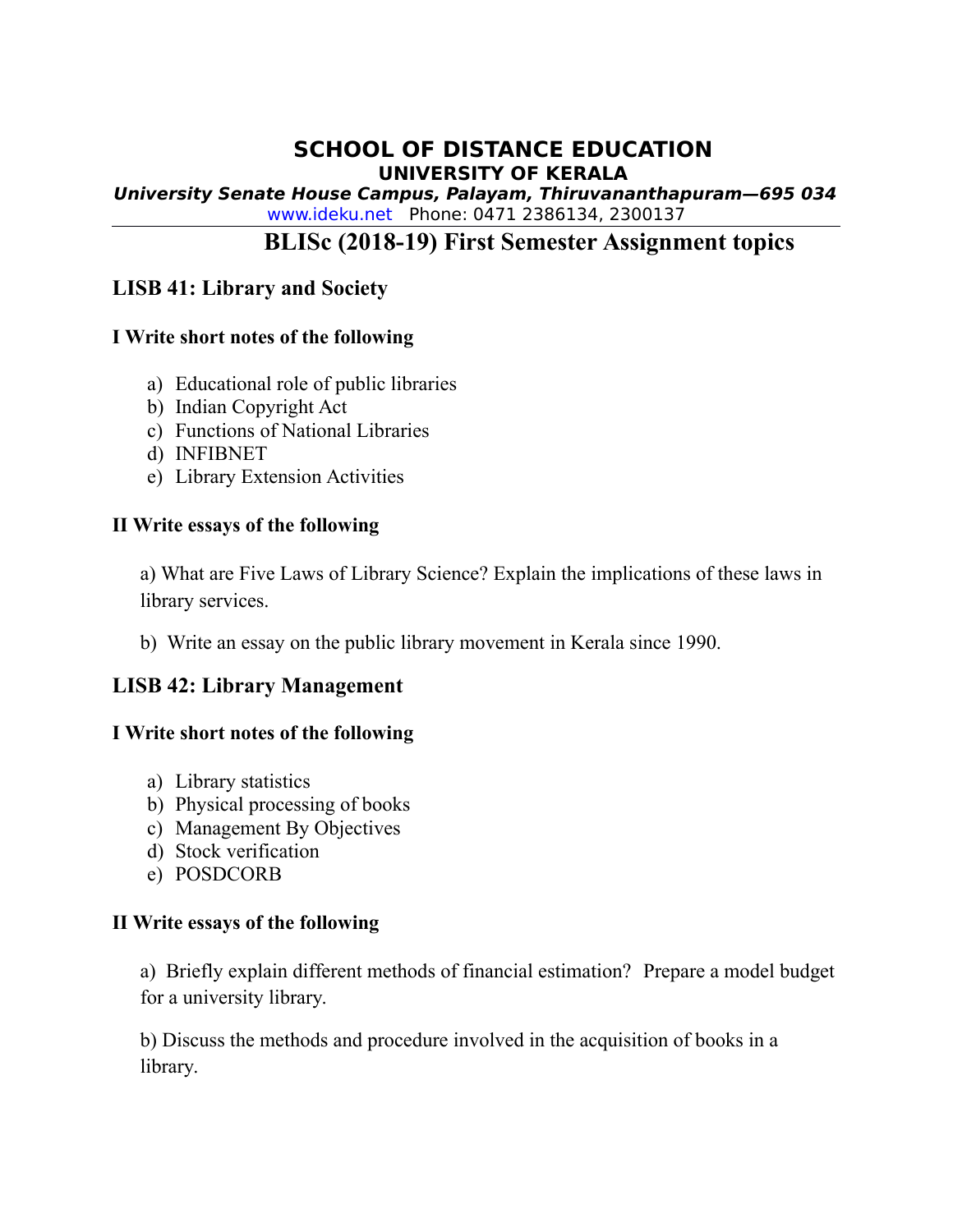## **SCHOOL OF DISTANCE EDUCATION UNIVERSITY OF KERALA**

**University Senate House Campus, Palayam, Thiruvananthapuram—695 034** [www.ideku.net](http://www.ideku.net/) Phone: 0471 2386134, 2300137

# **BLISc (2018-19) First Semester Assignment topics**

## **LISB 41: Library and Society**

#### **I Write short notes of the following**

- a) Educational role of public libraries
- b) Indian Copyright Act
- c) Functions of National Libraries
- d) INFIBNET
- e) Library Extension Activities

#### **II Write essays of the following**

a) What are Five Laws of Library Science? Explain the implications of these laws in library services.

b) Write an essay on the public library movement in Kerala since 1990.

## **LISB 42: Library Management**

#### **I Write short notes of the following**

- a) Library statistics
- b) Physical processing of books
- c) Management By Objectives
- d) Stock verification
- e) POSDCORB

#### **II Write essays of the following**

a) Briefly explain different methods of financial estimation? Prepare a model budget for a university library.

b) Discuss the methods and procedure involved in the acquisition of books in a library.